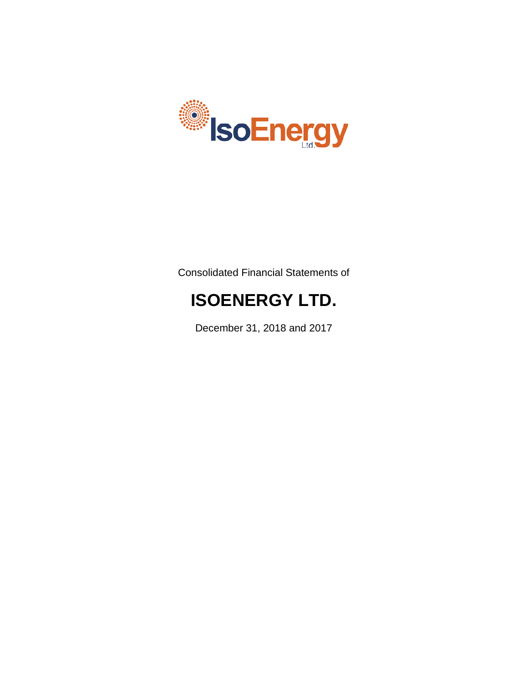

Consolidated Financial Statements of

# **ISOENERGY LTD.**

December 31, 2018 and 2017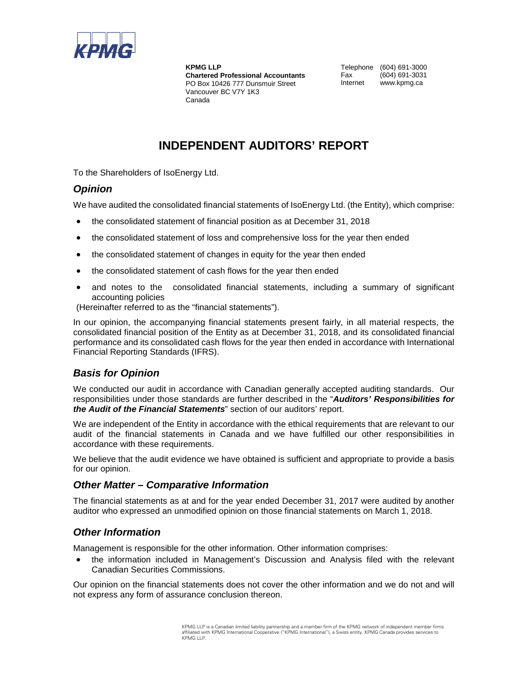

**KPMG LLP Chartered Professional Accountants** PO Box 10426 777 Dunsmuir Street Vancouver BC V7Y 1K3 Canada

Telephone (604) 691-3000<br>Fax (604) 691-3031 Fax (604) 691-3031 www.kpmg.ca

## **INDEPENDENT AUDITORS' REPORT**

To the Shareholders of IsoEnergy Ltd.

## *Opinion*

We have audited the consolidated financial statements of IsoEnergy Ltd. (the Entity), which comprise:

- the consolidated statement of financial position as at December 31, 2018
- the consolidated statement of loss and comprehensive loss for the year then ended
- the consolidated statement of changes in equity for the year then ended
- the consolidated statement of cash flows for the year then ended
- and notes to the consolidated financial statements, including a summary of significant accounting policies

(Hereinafter referred to as the "financial statements").

In our opinion, the accompanying financial statements present fairly, in all material respects, the consolidated financial position of the Entity as at December 31, 2018, and its consolidated financial performance and its consolidated cash flows for the year then ended in accordance with International Financial Reporting Standards (IFRS).

## *Basis for Opinion*

We conducted our audit in accordance with Canadian generally accepted auditing standards. Our responsibilities under those standards are further described in the "*Auditors' Responsibilities for the Audit of the Financial Statements*" section of our auditors' report.

We are independent of the Entity in accordance with the ethical requirements that are relevant to our audit of the financial statements in Canada and we have fulfilled our other responsibilities in accordance with these requirements.

We believe that the audit evidence we have obtained is sufficient and appropriate to provide a basis for our opinion.

## *Other Matter – Comparative Information*

The financial statements as at and for the year ended December 31, 2017 were audited by another auditor who expressed an unmodified opinion on those financial statements on March 1, 2018.

## *Other Information*

Management is responsible for the other information. Other information comprises:

• the information included in Management's Discussion and Analysis filed with the relevant Canadian Securities Commissions.

Our opinion on the financial statements does not cover the other information and we do not and will not express any form of assurance conclusion thereon.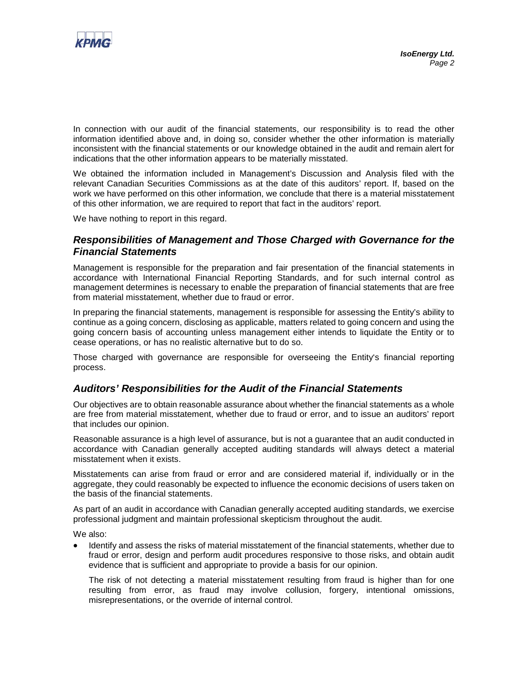

In connection with our audit of the financial statements, our responsibility is to read the other information identified above and, in doing so, consider whether the other information is materially inconsistent with the financial statements or our knowledge obtained in the audit and remain alert for indications that the other information appears to be materially misstated.

We obtained the information included in Management's Discussion and Analysis filed with the relevant Canadian Securities Commissions as at the date of this auditors' report. If, based on the work we have performed on this other information, we conclude that there is a material misstatement of this other information, we are required to report that fact in the auditors' report.

We have nothing to report in this regard.

## *Responsibilities of Management and Those Charged with Governance for the Financial Statements*

Management is responsible for the preparation and fair presentation of the financial statements in accordance with International Financial Reporting Standards, and for such internal control as management determines is necessary to enable the preparation of financial statements that are free from material misstatement, whether due to fraud or error.

In preparing the financial statements, management is responsible for assessing the Entity's ability to continue as a going concern, disclosing as applicable, matters related to going concern and using the going concern basis of accounting unless management either intends to liquidate the Entity or to cease operations, or has no realistic alternative but to do so.

Those charged with governance are responsible for overseeing the Entity's financial reporting process.

## *Auditors' Responsibilities for the Audit of the Financial Statements*

Our objectives are to obtain reasonable assurance about whether the financial statements as a whole are free from material misstatement, whether due to fraud or error, and to issue an auditors' report that includes our opinion.

Reasonable assurance is a high level of assurance, but is not a guarantee that an audit conducted in accordance with Canadian generally accepted auditing standards will always detect a material misstatement when it exists.

Misstatements can arise from fraud or error and are considered material if, individually or in the aggregate, they could reasonably be expected to influence the economic decisions of users taken on the basis of the financial statements.

As part of an audit in accordance with Canadian generally accepted auditing standards, we exercise professional judgment and maintain professional skepticism throughout the audit.

We also:

• Identify and assess the risks of material misstatement of the financial statements, whether due to fraud or error, design and perform audit procedures responsive to those risks, and obtain audit evidence that is sufficient and appropriate to provide a basis for our opinion.

The risk of not detecting a material misstatement resulting from fraud is higher than for one resulting from error, as fraud may involve collusion, forgery, intentional omissions, misrepresentations, or the override of internal control.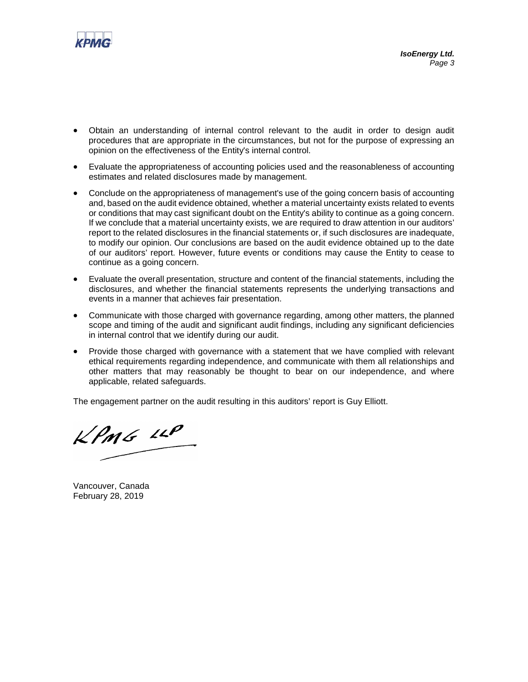

- Obtain an understanding of internal control relevant to the audit in order to design audit procedures that are appropriate in the circumstances, but not for the purpose of expressing an opinion on the effectiveness of the Entity's internal control.
- Evaluate the appropriateness of accounting policies used and the reasonableness of accounting estimates and related disclosures made by management.
- Conclude on the appropriateness of management's use of the going concern basis of accounting and, based on the audit evidence obtained, whether a material uncertainty exists related to events or conditions that may cast significant doubt on the Entity's ability to continue as a going concern. If we conclude that a material uncertainty exists, we are required to draw attention in our auditors' report to the related disclosures in the financial statements or, if such disclosures are inadequate, to modify our opinion. Our conclusions are based on the audit evidence obtained up to the date of our auditors' report. However, future events or conditions may cause the Entity to cease to continue as a going concern.
- Evaluate the overall presentation, structure and content of the financial statements, including the disclosures, and whether the financial statements represents the underlying transactions and events in a manner that achieves fair presentation.
- Communicate with those charged with governance regarding, among other matters, the planned scope and timing of the audit and significant audit findings, including any significant deficiencies in internal control that we identify during our audit.
- Provide those charged with governance with a statement that we have complied with relevant ethical requirements regarding independence, and communicate with them all relationships and other matters that may reasonably be thought to bear on our independence, and where applicable, related safeguards.

The engagement partner on the audit resulting in this auditors' report is Guy Elliott.

 $KPMG$  14P

Vancouver, Canada February 28, 2019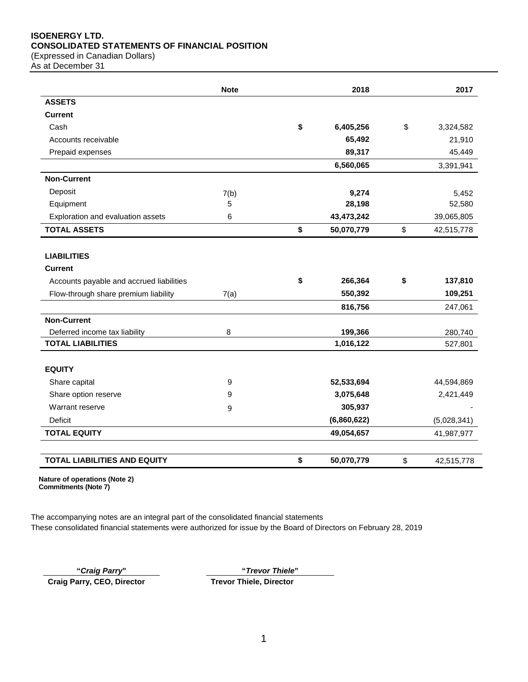#### **ISOENERGY LTD. CONSOLIDATED STATEMENTS OF FINANCIAL POSITION**

(Expressed in Canadian Dollars)

As at December 31

|                                          | <b>Note</b> | 2018             | 2017             |
|------------------------------------------|-------------|------------------|------------------|
| <b>ASSETS</b>                            |             |                  |                  |
| <b>Current</b>                           |             |                  |                  |
| Cash                                     |             | \$<br>6,405,256  | \$<br>3,324,582  |
| Accounts receivable                      |             | 65,492           | 21,910           |
| Prepaid expenses                         |             | 89,317           | 45,449           |
|                                          |             | 6,560,065        | 3,391,941        |
| <b>Non-Current</b>                       |             |                  |                  |
| Deposit                                  | 7(b)        | 9,274            | 5,452            |
| Equipment                                | 5           | 28,198           | 52,580           |
| Exploration and evaluation assets        | 6           | 43,473,242       | 39,065,805       |
| <b>TOTAL ASSETS</b>                      |             | \$<br>50,070,779 | \$<br>42,515,778 |
| <b>LIABILITIES</b>                       |             |                  |                  |
| <b>Current</b>                           |             |                  |                  |
| Accounts payable and accrued liabilities |             | \$<br>266,364    | \$<br>137,810    |
| Flow-through share premium liability     | 7(a)        | 550,392          | 109,251          |
|                                          |             | 816,756          | 247,061          |
| <b>Non-Current</b>                       |             |                  |                  |
| Deferred income tax liability            | 8           | 199,366          | 280,740          |
| <b>TOTAL LIABILITIES</b>                 |             | 1,016,122        | 527,801          |
| <b>EQUITY</b>                            |             |                  |                  |
| Share capital                            | 9           | 52,533,694       | 44,594,869       |
| Share option reserve                     | 9           | 3,075,648        | 2,421,449        |
| Warrant reserve                          | 9           | 305,937          |                  |
| <b>Deficit</b>                           |             | (6,860,622)      | (5,028,341)      |
| <b>TOTAL EQUITY</b>                      |             | 49,054,657       | 41,987,977       |
| <b>TOTAL LIABILITIES AND EQUITY</b>      |             | \$<br>50,070,779 | \$<br>42,515,778 |

**Nature of operations (Note 2) Commitments (Note 7)**

The accompanying notes are an integral part of the consolidated financial statements These consolidated financial statements were authorized for issue by the Board of Directors on February 28, 2019

**"***Craig Parry***" "***Trevor Thiele***" Craig Parry, CEO, Director Trevor Thiele, Director**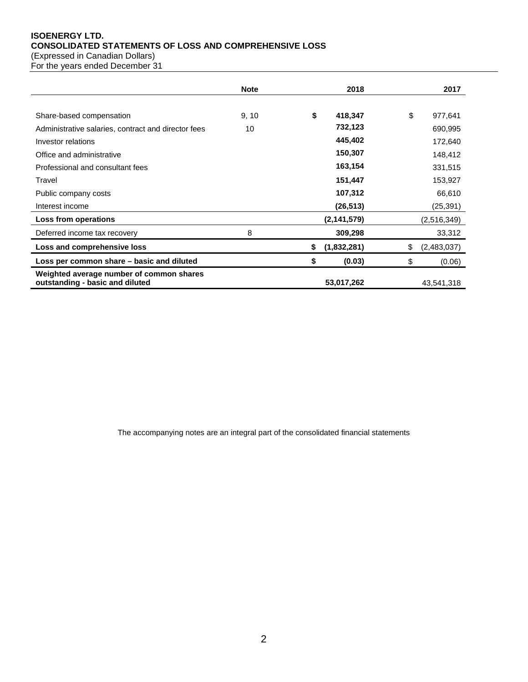## **ISOENERGY LTD. CONSOLIDATED STATEMENTS OF LOSS AND COMPREHENSIVE LOSS**

(Expressed in Canadian Dollars)

| $\sim$ $\sim$ |  |                                 |  |
|---------------|--|---------------------------------|--|
|               |  | For the years ended December 31 |  |

|                                                                             | <b>Note</b> | 2018              | 2017              |
|-----------------------------------------------------------------------------|-------------|-------------------|-------------------|
| Share-based compensation                                                    | 9, 10       | \$<br>418,347     | \$<br>977,641     |
| Administrative salaries, contract and director fees                         | 10          | 732,123           | 690,995           |
| Investor relations                                                          |             | 445,402           | 172,640           |
| Office and administrative                                                   |             | 150,307           | 148,412           |
| Professional and consultant fees                                            |             | 163,154           | 331,515           |
| Travel                                                                      |             | 151,447           | 153,927           |
| Public company costs                                                        |             | 107,312           | 66,610            |
| Interest income                                                             |             | (26, 513)         | (25,391)          |
| Loss from operations                                                        |             | (2, 141, 579)     | (2,516,349)       |
| Deferred income tax recovery                                                | 8           | 309,298           | 33,312            |
| Loss and comprehensive loss                                                 |             | \$<br>(1,832,281) | \$<br>(2,483,037) |
| Loss per common share - basic and diluted                                   |             | \$<br>(0.03)      | \$<br>(0.06)      |
| Weighted average number of common shares<br>outstanding - basic and diluted |             | 53,017,262        | 43,541,318        |

The accompanying notes are an integral part of the consolidated financial statements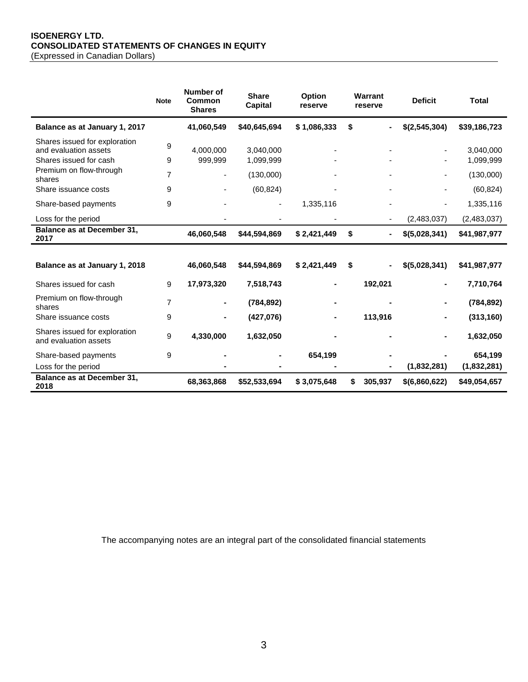#### **ISOENERGY LTD. CONSOLIDATED STATEMENTS OF CHANGES IN EQUITY** (Expressed in Canadian Dollars)

|                                                                                  | <b>Note</b> | <b>Number of</b><br><b>Common</b><br><b>Shares</b> | <b>Share</b><br><b>Capital</b> | Option<br>reserve | Warrant<br>reserve   | <b>Deficit</b> | <b>Total</b>           |
|----------------------------------------------------------------------------------|-------------|----------------------------------------------------|--------------------------------|-------------------|----------------------|----------------|------------------------|
| Balance as at January 1, 2017                                                    |             | 41,060,549                                         | \$40,645,694                   | \$1,086,333       | \$                   | \$(2,545,304)  | \$39,186,723           |
| Shares issued for exploration<br>and evaluation assets<br>Shares issued for cash | 9<br>9      | 4,000,000<br>999.999                               | 3,040,000<br>1,099,999         |                   |                      |                | 3,040,000<br>1,099,999 |
| Premium on flow-through<br>shares                                                | 7           | $\blacksquare$                                     | (130,000)                      |                   |                      |                | (130,000)              |
| Share issuance costs                                                             | 9           |                                                    | (60, 824)                      |                   |                      |                | (60, 824)              |
| Share-based payments                                                             | 9           |                                                    |                                | 1,335,116         |                      |                | 1,335,116              |
| Loss for the period                                                              |             |                                                    |                                |                   |                      | (2,483,037)    | (2,483,037)            |
| Balance as at December 31,<br>2017                                               |             | 46,060,548                                         | \$44,594,869                   | \$2,421,449       | \$<br>$\blacksquare$ | \$(5,028,341)  | \$41,987,977           |
| Balance as at January 1, 2018                                                    |             | 46,060,548                                         | \$44,594,869                   | \$2,421,449       | \$<br>ä,             | \$(5,028,341)  | \$41,987,977           |
| Shares issued for cash                                                           | 9           | 17,973,320                                         | 7,518,743                      |                   | 192,021              |                | 7,710,764              |
| Premium on flow-through<br>shares                                                | 7           |                                                    | (784, 892)                     |                   |                      |                | (784, 892)             |
| Share issuance costs                                                             | 9           |                                                    | (427,076)                      |                   | 113,916              |                | (313, 160)             |
| Shares issued for exploration<br>and evaluation assets                           | 9           | 4,330,000                                          | 1,632,050                      |                   |                      |                | 1,632,050              |
| Share-based payments<br>Loss for the period                                      | 9           |                                                    |                                | 654,199           | $\blacksquare$       | (1,832,281)    | 654,199<br>(1,832,281) |
| Balance as at December 31,<br>2018                                               |             | 68,363,868                                         | \$52,533,694                   | \$3,075,648       | \$<br>305,937        | \$(6,860,622)  | \$49,054,657           |

The accompanying notes are an integral part of the consolidated financial statements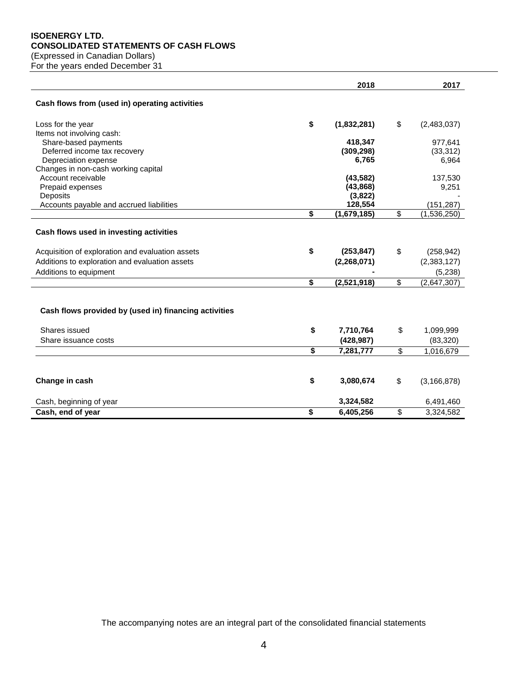#### **ISOENERGY LTD. CONSOLIDATED STATEMENTS OF CASH FLOWS** (Expressed in Canadian Dollars)

For the years ended December 31

|                                                       | 2018              | 2017                |
|-------------------------------------------------------|-------------------|---------------------|
| Cash flows from (used in) operating activities        |                   |                     |
| Loss for the year                                     | \$<br>(1,832,281) | \$<br>(2,483,037)   |
| Items not involving cash:                             |                   |                     |
| Share-based payments                                  | 418,347           | 977,641             |
| Deferred income tax recovery                          | (309, 298)        | (33, 312)           |
| Depreciation expense                                  | 6,765             | 6,964               |
| Changes in non-cash working capital                   |                   |                     |
| Account receivable                                    | (43, 582)         | 137,530             |
| Prepaid expenses                                      | (43, 868)         | 9,251               |
| Deposits                                              | (3,822)           |                     |
| Accounts payable and accrued liabilities              | 128,554           | (151, 287)          |
|                                                       | \$<br>(1,679,185) | \$<br>(1,536,250)   |
| Cash flows used in investing activities               |                   |                     |
| Acquisition of exploration and evaluation assets      | \$<br>(253, 847)  | \$<br>(258, 942)    |
| Additions to exploration and evaluation assets        | (2,268,071)       | (2, 383, 127)       |
| Additions to equipment                                |                   | (5,238)             |
|                                                       | \$<br>(2,521,918) | \$<br>(2,647,307)   |
| Cash flows provided by (used in) financing activities |                   |                     |
| Shares issued                                         | \$<br>7,710,764   | \$<br>1,099,999     |
| Share issuance costs                                  | (428, 987)        | (83, 320)           |
|                                                       | \$<br>7,281,777   | \$<br>1,016,679     |
| Change in cash                                        | \$<br>3,080,674   | \$<br>(3, 166, 878) |
| Cash, beginning of year                               | 3,324,582         | 6,491,460           |
| Cash, end of year                                     | \$<br>6,405,256   | \$<br>3,324,582     |

The accompanying notes are an integral part of the consolidated financial statements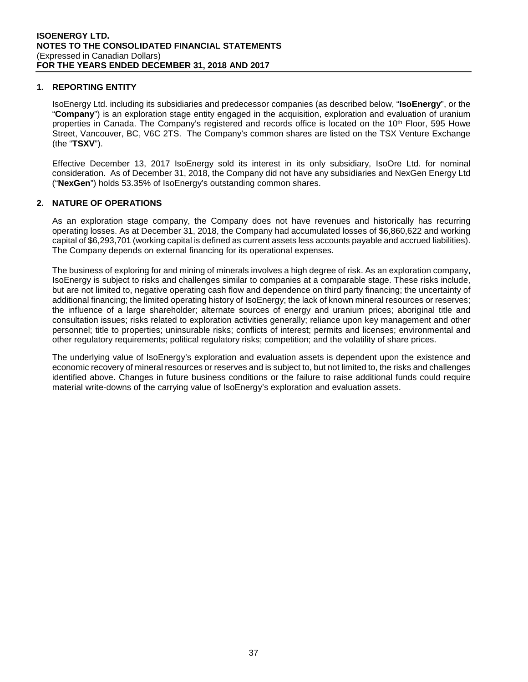#### **1. REPORTING ENTITY**

IsoEnergy Ltd. including its subsidiaries and predecessor companies (as described below, "**IsoEnergy**", or the "**Company**") is an exploration stage entity engaged in the acquisition, exploration and evaluation of uranium properties in Canada. The Company's registered and records office is located on the 10<sup>th</sup> Floor, 595 Howe Street, Vancouver, BC, V6C 2TS. The Company's common shares are listed on the TSX Venture Exchange (the "**TSXV**").

Effective December 13, 2017 IsoEnergy sold its interest in its only subsidiary, IsoOre Ltd. for nominal consideration. As of December 31, 2018, the Company did not have any subsidiaries and NexGen Energy Ltd ("**NexGen**") holds 53.35% of IsoEnergy's outstanding common shares.

#### **2. NATURE OF OPERATIONS**

As an exploration stage company, the Company does not have revenues and historically has recurring operating losses. As at December 31, 2018, the Company had accumulated losses of \$6,860,622 and working capital of \$6,293,701 (working capital is defined as current assets less accounts payable and accrued liabilities). The Company depends on external financing for its operational expenses.

The business of exploring for and mining of minerals involves a high degree of risk. As an exploration company, IsoEnergy is subject to risks and challenges similar to companies at a comparable stage. These risks include, but are not limited to, negative operating cash flow and dependence on third party financing; the uncertainty of additional financing; the limited operating history of IsoEnergy; the lack of known mineral resources or reserves; the influence of a large shareholder; alternate sources of energy and uranium prices; aboriginal title and consultation issues; risks related to exploration activities generally; reliance upon key management and other personnel; title to properties; uninsurable risks; conflicts of interest; permits and licenses; environmental and other regulatory requirements; political regulatory risks; competition; and the volatility of share prices.

The underlying value of IsoEnergy's exploration and evaluation assets is dependent upon the existence and economic recovery of mineral resources or reserves and is subject to, but not limited to, the risks and challenges identified above. Changes in future business conditions or the failure to raise additional funds could require material write-downs of the carrying value of IsoEnergy's exploration and evaluation assets.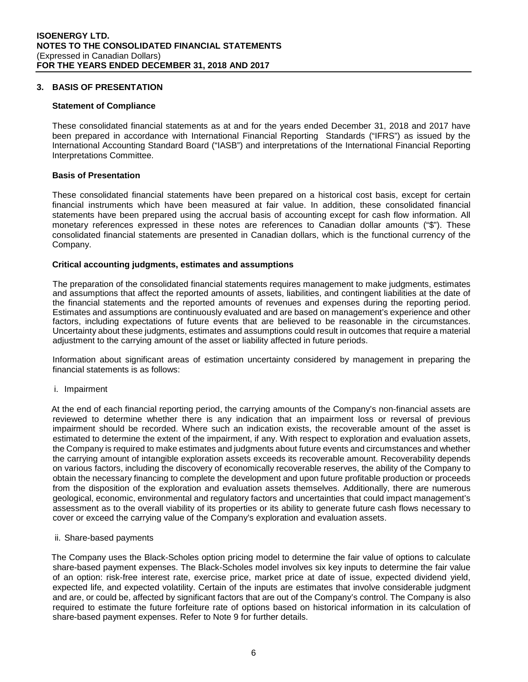#### **3. BASIS OF PRESENTATION**

#### **Statement of Compliance**

These consolidated financial statements as at and for the years ended December 31, 2018 and 2017 have been prepared in accordance with International Financial Reporting Standards ("IFRS") as issued by the International Accounting Standard Board ("IASB") and interpretations of the International Financial Reporting Interpretations Committee.

#### **Basis of Presentation**

These consolidated financial statements have been prepared on a historical cost basis, except for certain financial instruments which have been measured at fair value. In addition, these consolidated financial statements have been prepared using the accrual basis of accounting except for cash flow information. All monetary references expressed in these notes are references to Canadian dollar amounts ("\$"). These consolidated financial statements are presented in Canadian dollars, which is the functional currency of the Company.

#### **Critical accounting judgments, estimates and assumptions**

The preparation of the consolidated financial statements requires management to make judgments, estimates and assumptions that affect the reported amounts of assets, liabilities, and contingent liabilities at the date of the financial statements and the reported amounts of revenues and expenses during the reporting period. Estimates and assumptions are continuously evaluated and are based on management's experience and other factors, including expectations of future events that are believed to be reasonable in the circumstances. Uncertainty about these judgments, estimates and assumptions could result in outcomes that require a material adjustment to the carrying amount of the asset or liability affected in future periods.

Information about significant areas of estimation uncertainty considered by management in preparing the financial statements is as follows:

i. Impairment

At the end of each financial reporting period, the carrying amounts of the Company's non-financial assets are reviewed to determine whether there is any indication that an impairment loss or reversal of previous impairment should be recorded. Where such an indication exists, the recoverable amount of the asset is estimated to determine the extent of the impairment, if any. With respect to exploration and evaluation assets, the Company is required to make estimates and judgments about future events and circumstances and whether the carrying amount of intangible exploration assets exceeds its recoverable amount. Recoverability depends on various factors, including the discovery of economically recoverable reserves, the ability of the Company to obtain the necessary financing to complete the development and upon future profitable production or proceeds from the disposition of the exploration and evaluation assets themselves. Additionally, there are numerous geological, economic, environmental and regulatory factors and uncertainties that could impact management's assessment as to the overall viability of its properties or its ability to generate future cash flows necessary to cover or exceed the carrying value of the Company's exploration and evaluation assets.

#### ii. Share-based payments

The Company uses the Black-Scholes option pricing model to determine the fair value of options to calculate share-based payment expenses. The Black-Scholes model involves six key inputs to determine the fair value of an option: risk-free interest rate, exercise price, market price at date of issue, expected dividend yield, expected life, and expected volatility. Certain of the inputs are estimates that involve considerable judgment and are, or could be, affected by significant factors that are out of the Company's control. The Company is also required to estimate the future forfeiture rate of options based on historical information in its calculation of share-based payment expenses. Refer to Note 9 for further details.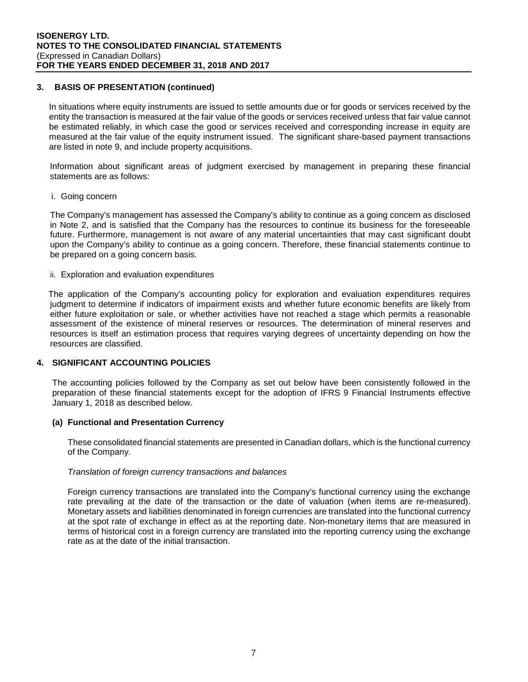#### **3. BASIS OF PRESENTATION (continued)**

In situations where equity instruments are issued to settle amounts due or for goods or services received by the entity the transaction is measured at the fair value of the goods or services received unless that fair value cannot be estimated reliably, in which case the good or services received and corresponding increase in equity are measured at the fair value of the equity instrument issued. The significant share-based payment transactions are listed in note 9, and include property acquisitions.

Information about significant areas of judgment exercised by management in preparing these financial statements are as follows:

#### i. Going concern

The Company's management has assessed the Company's ability to continue as a going concern as disclosed in Note 2, and is satisfied that the Company has the resources to continue its business for the foreseeable future. Furthermore, management is not aware of any material uncertainties that may cast significant doubt upon the Company's ability to continue as a going concern. Therefore, these financial statements continue to be prepared on a going concern basis.

#### ii. Exploration and evaluation expenditures

The application of the Company's accounting policy for exploration and evaluation expenditures requires judgment to determine if indicators of impairment exists and whether future economic benefits are likely from either future exploitation or sale, or whether activities have not reached a stage which permits a reasonable assessment of the existence of mineral reserves or resources. The determination of mineral reserves and resources is itself an estimation process that requires varying degrees of uncertainty depending on how the resources are classified.

#### **4. SIGNIFICANT ACCOUNTING POLICIES**

The accounting policies followed by the Company as set out below have been consistently followed in the preparation of these financial statements except for the adoption of IFRS 9 Financial Instruments effective January 1, 2018 as described below.

#### **(a) Functional and Presentation Currency**

These consolidated financial statements are presented in Canadian dollars, which is the functional currency of the Company.

#### *Translation of foreign currency transactions and balances*

Foreign currency transactions are translated into the Company's functional currency using the exchange rate prevailing at the date of the transaction or the date of valuation (when items are re-measured). Monetary assets and liabilities denominated in foreign currencies are translated into the functional currency at the spot rate of exchange in effect as at the reporting date. Non-monetary items that are measured in terms of historical cost in a foreign currency are translated into the reporting currency using the exchange rate as at the date of the initial transaction.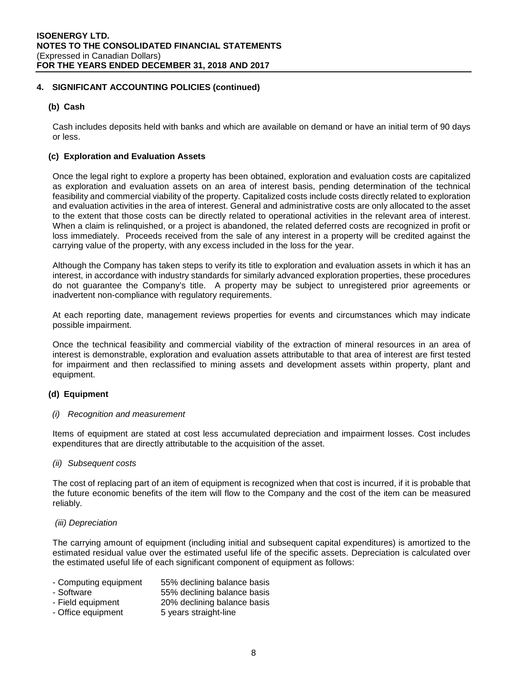#### **(b) Cash**

Cash includes deposits held with banks and which are available on demand or have an initial term of 90 days or less.

#### **(c) Exploration and Evaluation Assets**

Once the legal right to explore a property has been obtained, exploration and evaluation costs are capitalized as exploration and evaluation assets on an area of interest basis, pending determination of the technical feasibility and commercial viability of the property. Capitalized costs include costs directly related to exploration and evaluation activities in the area of interest. General and administrative costs are only allocated to the asset to the extent that those costs can be directly related to operational activities in the relevant area of interest. When a claim is relinquished, or a project is abandoned, the related deferred costs are recognized in profit or loss immediately. Proceeds received from the sale of any interest in a property will be credited against the carrying value of the property, with any excess included in the loss for the year.

Although the Company has taken steps to verify its title to exploration and evaluation assets in which it has an interest, in accordance with industry standards for similarly advanced exploration properties, these procedures do not guarantee the Company's title. A property may be subject to unregistered prior agreements or inadvertent non-compliance with regulatory requirements.

At each reporting date, management reviews properties for events and circumstances which may indicate possible impairment.

Once the technical feasibility and commercial viability of the extraction of mineral resources in an area of interest is demonstrable, exploration and evaluation assets attributable to that area of interest are first tested for impairment and then reclassified to mining assets and development assets within property, plant and equipment.

#### **(d) Equipment**

#### *(i) Recognition and measurement*

Items of equipment are stated at cost less accumulated depreciation and impairment losses. Cost includes expenditures that are directly attributable to the acquisition of the asset.

#### *(ii) Subsequent costs*

The cost of replacing part of an item of equipment is recognized when that cost is incurred, if it is probable that the future economic benefits of the item will flow to the Company and the cost of the item can be measured reliably.

#### *(iii) Depreciation*

The carrying amount of equipment (including initial and subsequent capital expenditures) is amortized to the estimated residual value over the estimated useful life of the specific assets. Depreciation is calculated over the estimated useful life of each significant component of equipment as follows:

- Computing equipment 55% declining balance basis<br>- Software 55% declining balance basis - Software 55% declining balance basis<br>- Field equipment 20% declining balance basis 20% declining balance basis - Office equipment 5 years straight-line

8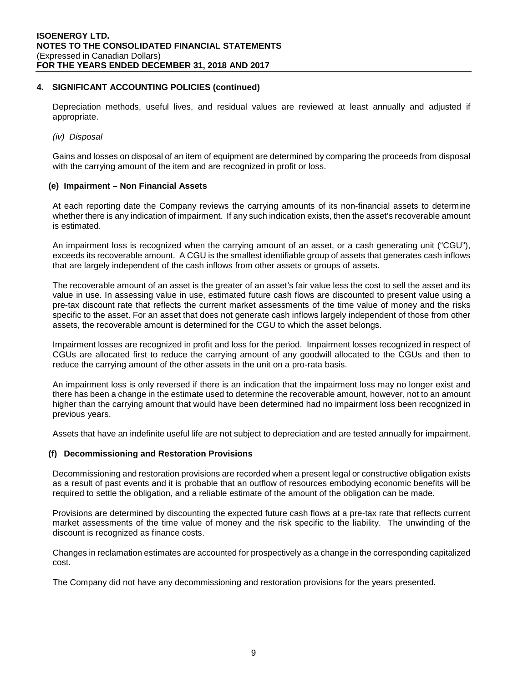Depreciation methods, useful lives, and residual values are reviewed at least annually and adjusted if appropriate.

#### *(iv) Disposal*

Gains and losses on disposal of an item of equipment are determined by comparing the proceeds from disposal with the carrying amount of the item and are recognized in profit or loss.

#### **(e) Impairment – Non Financial Assets**

At each reporting date the Company reviews the carrying amounts of its non-financial assets to determine whether there is any indication of impairment. If any such indication exists, then the asset's recoverable amount is estimated.

An impairment loss is recognized when the carrying amount of an asset, or a cash generating unit ("CGU"), exceeds its recoverable amount. A CGU is the smallest identifiable group of assets that generates cash inflows that are largely independent of the cash inflows from other assets or groups of assets.

The recoverable amount of an asset is the greater of an asset's fair value less the cost to sell the asset and its value in use. In assessing value in use, estimated future cash flows are discounted to present value using a pre-tax discount rate that reflects the current market assessments of the time value of money and the risks specific to the asset. For an asset that does not generate cash inflows largely independent of those from other assets, the recoverable amount is determined for the CGU to which the asset belongs.

Impairment losses are recognized in profit and loss for the period. Impairment losses recognized in respect of CGUs are allocated first to reduce the carrying amount of any goodwill allocated to the CGUs and then to reduce the carrying amount of the other assets in the unit on a pro-rata basis.

An impairment loss is only reversed if there is an indication that the impairment loss may no longer exist and there has been a change in the estimate used to determine the recoverable amount, however, not to an amount higher than the carrying amount that would have been determined had no impairment loss been recognized in previous years.

Assets that have an indefinite useful life are not subject to depreciation and are tested annually for impairment.

#### **(f) Decommissioning and Restoration Provisions**

Decommissioning and restoration provisions are recorded when a present legal or constructive obligation exists as a result of past events and it is probable that an outflow of resources embodying economic benefits will be required to settle the obligation, and a reliable estimate of the amount of the obligation can be made.

Provisions are determined by discounting the expected future cash flows at a pre-tax rate that reflects current market assessments of the time value of money and the risk specific to the liability. The unwinding of the discount is recognized as finance costs.

Changes in reclamation estimates are accounted for prospectively as a change in the corresponding capitalized cost.

The Company did not have any decommissioning and restoration provisions for the years presented.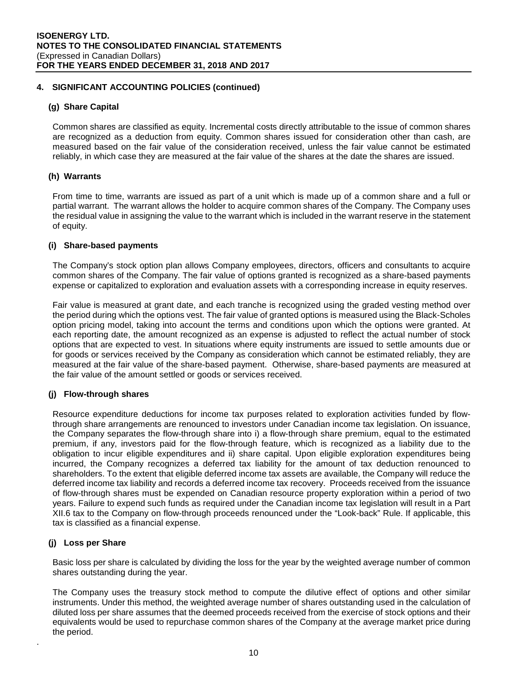#### **(g) Share Capital**

Common shares are classified as equity. Incremental costs directly attributable to the issue of common shares are recognized as a deduction from equity. Common shares issued for consideration other than cash, are measured based on the fair value of the consideration received, unless the fair value cannot be estimated reliably, in which case they are measured at the fair value of the shares at the date the shares are issued.

#### **(h) Warrants**

From time to time, warrants are issued as part of a unit which is made up of a common share and a full or partial warrant. The warrant allows the holder to acquire common shares of the Company. The Company uses the residual value in assigning the value to the warrant which is included in the warrant reserve in the statement of equity.

#### **(i) Share-based payments**

The Company's stock option plan allows Company employees, directors, officers and consultants to acquire common shares of the Company. The fair value of options granted is recognized as a share-based payments expense or capitalized to exploration and evaluation assets with a corresponding increase in equity reserves.

Fair value is measured at grant date, and each tranche is recognized using the graded vesting method over the period during which the options vest. The fair value of granted options is measured using the Black-Scholes option pricing model, taking into account the terms and conditions upon which the options were granted. At each reporting date, the amount recognized as an expense is adjusted to reflect the actual number of stock options that are expected to vest. In situations where equity instruments are issued to settle amounts due or for goods or services received by the Company as consideration which cannot be estimated reliably, they are measured at the fair value of the share-based payment. Otherwise, share-based payments are measured at the fair value of the amount settled or goods or services received.

#### **(j) Flow-through shares**

Resource expenditure deductions for income tax purposes related to exploration activities funded by flowthrough share arrangements are renounced to investors under Canadian income tax legislation. On issuance, the Company separates the flow-through share into i) a flow-through share premium, equal to the estimated premium, if any, investors paid for the flow-through feature, which is recognized as a liability due to the obligation to incur eligible expenditures and ii) share capital. Upon eligible exploration expenditures being incurred, the Company recognizes a deferred tax liability for the amount of tax deduction renounced to shareholders. To the extent that eligible deferred income tax assets are available, the Company will reduce the deferred income tax liability and records a deferred income tax recovery. Proceeds received from the issuance of flow-through shares must be expended on Canadian resource property exploration within a period of two years. Failure to expend such funds as required under the Canadian income tax legislation will result in a Part XII.6 tax to the Company on flow-through proceeds renounced under the "Look-back" Rule. If applicable, this tax is classified as a financial expense.

#### **(j) Loss per Share**

.

Basic loss per share is calculated by dividing the loss for the year by the weighted average number of common shares outstanding during the year.

The Company uses the treasury stock method to compute the dilutive effect of options and other similar instruments. Under this method, the weighted average number of shares outstanding used in the calculation of diluted loss per share assumes that the deemed proceeds received from the exercise of stock options and their equivalents would be used to repurchase common shares of the Company at the average market price during the period.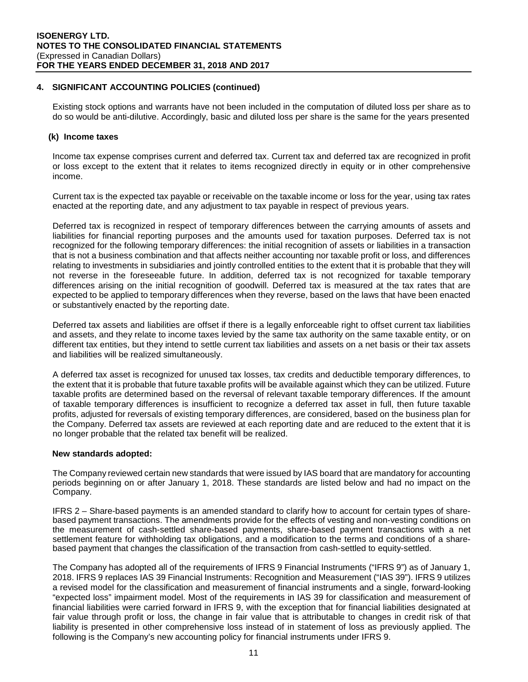Existing stock options and warrants have not been included in the computation of diluted loss per share as to do so would be anti-dilutive. Accordingly, basic and diluted loss per share is the same for the years presented

#### **(k) Income taxes**

Income tax expense comprises current and deferred tax. Current tax and deferred tax are recognized in profit or loss except to the extent that it relates to items recognized directly in equity or in other comprehensive income.

Current tax is the expected tax payable or receivable on the taxable income or loss for the year, using tax rates enacted at the reporting date, and any adjustment to tax payable in respect of previous years.

Deferred tax is recognized in respect of temporary differences between the carrying amounts of assets and liabilities for financial reporting purposes and the amounts used for taxation purposes. Deferred tax is not recognized for the following temporary differences: the initial recognition of assets or liabilities in a transaction that is not a business combination and that affects neither accounting nor taxable profit or loss, and differences relating to investments in subsidiaries and jointly controlled entities to the extent that it is probable that they will not reverse in the foreseeable future. In addition, deferred tax is not recognized for taxable temporary differences arising on the initial recognition of goodwill. Deferred tax is measured at the tax rates that are expected to be applied to temporary differences when they reverse, based on the laws that have been enacted or substantively enacted by the reporting date.

Deferred tax assets and liabilities are offset if there is a legally enforceable right to offset current tax liabilities and assets, and they relate to income taxes levied by the same tax authority on the same taxable entity, or on different tax entities, but they intend to settle current tax liabilities and assets on a net basis or their tax assets and liabilities will be realized simultaneously.

A deferred tax asset is recognized for unused tax losses, tax credits and deductible temporary differences, to the extent that it is probable that future taxable profits will be available against which they can be utilized. Future taxable profits are determined based on the reversal of relevant taxable temporary differences. If the amount of taxable temporary differences is insufficient to recognize a deferred tax asset in full, then future taxable profits, adjusted for reversals of existing temporary differences, are considered, based on the business plan for the Company. Deferred tax assets are reviewed at each reporting date and are reduced to the extent that it is no longer probable that the related tax benefit will be realized.

#### **New standards adopted:**

The Company reviewed certain new standards that were issued by IAS board that are mandatory for accounting periods beginning on or after January 1, 2018. These standards are listed below and had no impact on the Company.

IFRS 2 – Share-based payments is an amended standard to clarify how to account for certain types of sharebased payment transactions. The amendments provide for the effects of vesting and non-vesting conditions on the measurement of cash-settled share-based payments, share-based payment transactions with a net settlement feature for withholding tax obligations, and a modification to the terms and conditions of a sharebased payment that changes the classification of the transaction from cash-settled to equity-settled.

The Company has adopted all of the requirements of IFRS 9 Financial Instruments ("IFRS 9") as of January 1, 2018. IFRS 9 replaces IAS 39 Financial Instruments: Recognition and Measurement ("IAS 39"). IFRS 9 utilizes a revised model for the classification and measurement of financial instruments and a single, forward-looking "expected loss" impairment model. Most of the requirements in IAS 39 for classification and measurement of financial liabilities were carried forward in IFRS 9, with the exception that for financial liabilities designated at fair value through profit or loss, the change in fair value that is attributable to changes in credit risk of that liability is presented in other comprehensive loss instead of in statement of loss as previously applied. The following is the Company's new accounting policy for financial instruments under IFRS 9.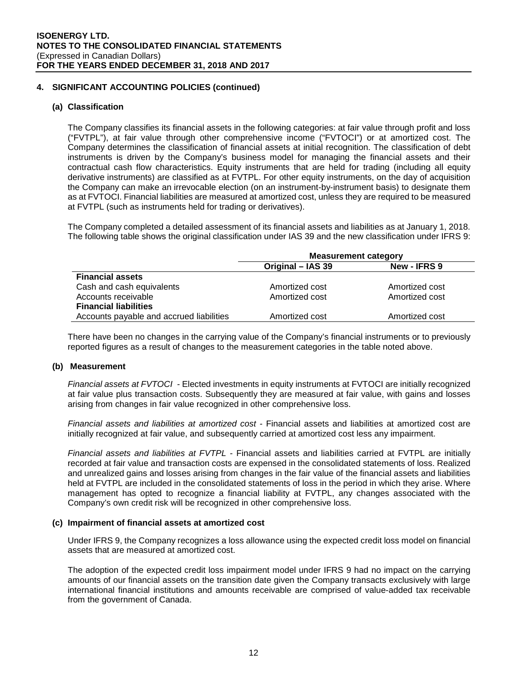#### **(a) Classification**

The Company classifies its financial assets in the following categories: at fair value through profit and loss ("FVTPL"), at fair value through other comprehensive income ("FVTOCI") or at amortized cost. The Company determines the classification of financial assets at initial recognition. The classification of debt instruments is driven by the Company's business model for managing the financial assets and their contractual cash flow characteristics. Equity instruments that are held for trading (including all equity derivative instruments) are classified as at FVTPL. For other equity instruments, on the day of acquisition the Company can make an irrevocable election (on an instrument-by-instrument basis) to designate them as at FVTOCI. Financial liabilities are measured at amortized cost, unless they are required to be measured at FVTPL (such as instruments held for trading or derivatives).

The Company completed a detailed assessment of its financial assets and liabilities as at January 1, 2018. The following table shows the original classification under IAS 39 and the new classification under IFRS 9:

|                                          | <b>Measurement category</b> |                |  |  |  |  |
|------------------------------------------|-----------------------------|----------------|--|--|--|--|
|                                          | Original - IAS 39           | New - IFRS 9   |  |  |  |  |
| <b>Financial assets</b>                  |                             |                |  |  |  |  |
| Cash and cash equivalents                | Amortized cost              | Amortized cost |  |  |  |  |
| Accounts receivable                      | Amortized cost              | Amortized cost |  |  |  |  |
| <b>Financial liabilities</b>             |                             |                |  |  |  |  |
| Accounts payable and accrued liabilities | Amortized cost              | Amortized cost |  |  |  |  |

There have been no changes in the carrying value of the Company's financial instruments or to previously reported figures as a result of changes to the measurement categories in the table noted above.

#### **(b) Measurement**

*Financial assets at FVTOCI -* Elected investments in equity instruments at FVTOCI are initially recognized at fair value plus transaction costs. Subsequently they are measured at fair value, with gains and losses arising from changes in fair value recognized in other comprehensive loss.

*Financial assets and liabilities at amortized cost -* Financial assets and liabilities at amortized cost are initially recognized at fair value, and subsequently carried at amortized cost less any impairment.

*Financial assets and liabilities at FVTPL* - Financial assets and liabilities carried at FVTPL are initially recorded at fair value and transaction costs are expensed in the consolidated statements of loss. Realized and unrealized gains and losses arising from changes in the fair value of the financial assets and liabilities held at FVTPL are included in the consolidated statements of loss in the period in which they arise. Where management has opted to recognize a financial liability at FVTPL, any changes associated with the Company's own credit risk will be recognized in other comprehensive loss.

#### **(c) Impairment of financial assets at amortized cost**

Under IFRS 9, the Company recognizes a loss allowance using the expected credit loss model on financial assets that are measured at amortized cost.

The adoption of the expected credit loss impairment model under IFRS 9 had no impact on the carrying amounts of our financial assets on the transition date given the Company transacts exclusively with large international financial institutions and amounts receivable are comprised of value-added tax receivable from the government of Canada.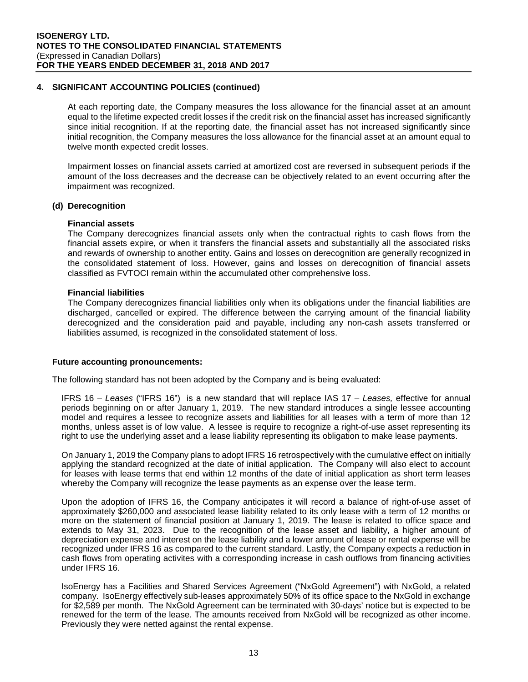At each reporting date, the Company measures the loss allowance for the financial asset at an amount equal to the lifetime expected credit losses if the credit risk on the financial asset has increased significantly since initial recognition. If at the reporting date, the financial asset has not increased significantly since initial recognition, the Company measures the loss allowance for the financial asset at an amount equal to twelve month expected credit losses.

Impairment losses on financial assets carried at amortized cost are reversed in subsequent periods if the amount of the loss decreases and the decrease can be objectively related to an event occurring after the impairment was recognized.

#### **(d) Derecognition**

#### **Financial assets**

The Company derecognizes financial assets only when the contractual rights to cash flows from the financial assets expire, or when it transfers the financial assets and substantially all the associated risks and rewards of ownership to another entity. Gains and losses on derecognition are generally recognized in the consolidated statement of loss. However, gains and losses on derecognition of financial assets classified as FVTOCI remain within the accumulated other comprehensive loss.

#### **Financial liabilities**

The Company derecognizes financial liabilities only when its obligations under the financial liabilities are discharged, cancelled or expired. The difference between the carrying amount of the financial liability derecognized and the consideration paid and payable, including any non-cash assets transferred or liabilities assumed, is recognized in the consolidated statement of loss.

#### **Future accounting pronouncements:**

The following standard has not been adopted by the Company and is being evaluated:

IFRS 16 – *Leases* ("IFRS 16") is a new standard that will replace IAS 17 – *Leases,* effective for annual periods beginning on or after January 1, 2019. The new standard introduces a single lessee accounting model and requires a lessee to recognize assets and liabilities for all leases with a term of more than 12 months, unless asset is of low value. A lessee is require to recognize a right-of-use asset representing its right to use the underlying asset and a lease liability representing its obligation to make lease payments.

On January 1, 2019 the Company plans to adopt IFRS 16 retrospectively with the cumulative effect on initially applying the standard recognized at the date of initial application. The Company will also elect to account for leases with lease terms that end within 12 months of the date of initial application as short term leases whereby the Company will recognize the lease payments as an expense over the lease term.

Upon the adoption of IFRS 16, the Company anticipates it will record a balance of right-of-use asset of approximately \$260,000 and associated lease liability related to its only lease with a term of 12 months or more on the statement of financial position at January 1, 2019. The lease is related to office space and extends to May 31, 2023. Due to the recognition of the lease asset and liability, a higher amount of depreciation expense and interest on the lease liability and a lower amount of lease or rental expense will be recognized under IFRS 16 as compared to the current standard. Lastly, the Company expects a reduction in cash flows from operating activites with a corresponding increase in cash outflows from financing activities under IFRS 16.

IsoEnergy has a Facilities and Shared Services Agreement ("NxGold Agreement") with NxGold, a related company. IsoEnergy effectively sub-leases approximately 50% of its office space to the NxGold in exchange for \$2,589 per month. The NxGold Agreement can be terminated with 30-days' notice but is expected to be renewed for the term of the lease. The amounts received from NxGold will be recognized as other income. Previously they were netted against the rental expense.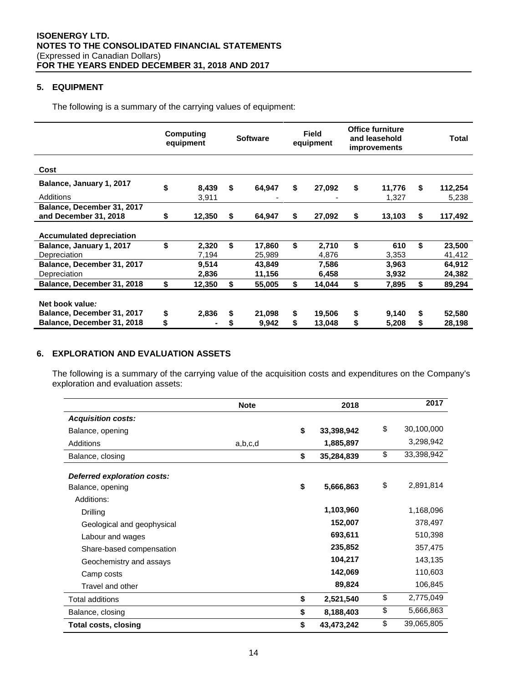## **5. EQUIPMENT**

The following is a summary of the carrying values of equipment:

|                                 | Computing<br>equipment |        | <b>Software</b> |        | <b>Field</b><br>equipment |        | <b>Office furniture</b><br>and leasehold<br><i>improvements</i> |        | Total         |
|---------------------------------|------------------------|--------|-----------------|--------|---------------------------|--------|-----------------------------------------------------------------|--------|---------------|
| Cost                            |                        |        |                 |        |                           |        |                                                                 |        |               |
| Balance, January 1, 2017        | \$                     | 8,439  | \$              | 64,947 | \$                        | 27,092 | \$                                                              | 11,776 | \$<br>112,254 |
| Additions                       |                        | 3,911  |                 |        |                           |        |                                                                 | 1,327  | 5,238         |
| Balance, December 31, 2017      |                        |        |                 |        |                           |        |                                                                 |        |               |
| and December 31, 2018           | \$                     | 12,350 | S               | 64,947 | \$                        | 27,092 | \$                                                              | 13,103 | \$<br>117,492 |
| <b>Accumulated depreciation</b> |                        |        |                 |        |                           |        |                                                                 |        |               |
| Balance, January 1, 2017        | \$                     | 2,320  | \$              | 17.860 | \$                        | 2,710  | \$                                                              | 610    | \$<br>23,500  |
| Depreciation                    |                        | 7,194  |                 | 25,989 |                           | 4,876  |                                                                 | 3,353  | 41,412        |
| Balance, December 31, 2017      |                        | 9,514  |                 | 43,849 |                           | 7,586  |                                                                 | 3,963  | 64,912        |
| Depreciation                    |                        | 2,836  |                 | 11,156 |                           | 6,458  |                                                                 | 3,932  | 24,382        |
| Balance, December 31, 2018      | \$                     | 12,350 | \$              | 55,005 | \$                        | 14,044 | \$                                                              | 7,895  | \$<br>89,294  |
| Net book value:                 |                        |        |                 |        |                           |        |                                                                 |        |               |
| Balance, December 31, 2017      | \$                     | 2,836  | \$              | 21,098 | \$                        | 19,506 | \$                                                              | 9,140  | \$<br>52,580  |
| Balance, December 31, 2018      | \$                     |        |                 | 9,942  | \$                        | 13,048 | \$                                                              | 5,208  | \$<br>28,198  |

## **6. EXPLORATION AND EVALUATION ASSETS**

The following is a summary of the carrying value of the acquisition costs and expenditures on the Company's exploration and evaluation assets:

|                             | <b>Note</b> | 2018             | 2017             |
|-----------------------------|-------------|------------------|------------------|
| <b>Acquisition costs:</b>   |             |                  |                  |
| Balance, opening            |             | \$<br>33,398,942 | \$<br>30,100,000 |
| Additions                   | a,b,c,d     | 1,885,897        | 3,298,942        |
| Balance, closing            |             | \$<br>35,284,839 | \$<br>33,398,942 |
| Deferred exploration costs: |             |                  |                  |
| Balance, opening            |             | \$<br>5,666,863  | \$<br>2,891,814  |
| Additions:                  |             |                  |                  |
| Drilling                    |             | 1,103,960        | 1,168,096        |
| Geological and geophysical  |             | 152,007          | 378,497          |
| Labour and wages            |             | 693,611          | 510,398          |
| Share-based compensation    |             | 235,852          | 357,475          |
| Geochemistry and assays     |             | 104,217          | 143,135          |
| Camp costs                  |             | 142,069          | 110,603          |
| Travel and other            |             | 89,824           | 106,845          |
| <b>Total additions</b>      |             | \$<br>2,521,540  | \$<br>2,775,049  |
| Balance, closing            |             | \$<br>8,188,403  | \$<br>5,666,863  |
| Total costs, closing        |             | \$<br>43,473,242 | \$<br>39,065,805 |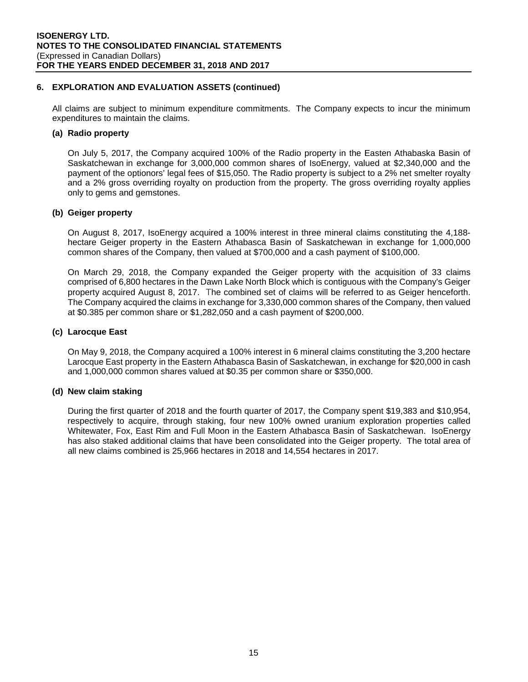#### **6. EXPLORATION AND EVALUATION ASSETS (continued)**

All claims are subject to minimum expenditure commitments. The Company expects to incur the minimum expenditures to maintain the claims.

#### **(a) Radio property**

On July 5, 2017, the Company acquired 100% of the Radio property in the Easten Athabaska Basin of Saskatchewan in exchange for 3,000,000 common shares of IsoEnergy, valued at \$2,340,000 and the payment of the optionors' legal fees of \$15,050. The Radio property is subject to a 2% net smelter royalty and a 2% gross overriding royalty on production from the property. The gross overriding royalty applies only to gems and gemstones.

#### **(b) Geiger property**

On August 8, 2017, IsoEnergy acquired a 100% interest in three mineral claims constituting the 4,188 hectare Geiger property in the Eastern Athabasca Basin of Saskatchewan in exchange for 1,000,000 common shares of the Company, then valued at \$700,000 and a cash payment of \$100,000.

On March 29, 2018, the Company expanded the Geiger property with the acquisition of 33 claims comprised of 6,800 hectares in the Dawn Lake North Block which is contiguous with the Company's Geiger property acquired August 8, 2017. The combined set of claims will be referred to as Geiger henceforth. The Company acquired the claims in exchange for 3,330,000 common shares of the Company, then valued at \$0.385 per common share or \$1,282,050 and a cash payment of \$200,000.

#### **(c) Larocque East**

On May 9, 2018, the Company acquired a 100% interest in 6 mineral claims constituting the 3,200 hectare Larocque East property in the Eastern Athabasca Basin of Saskatchewan, in exchange for \$20,000 in cash and 1,000,000 common shares valued at \$0.35 per common share or \$350,000.

#### **(d) New claim staking**

During the first quarter of 2018 and the fourth quarter of 2017, the Company spent \$19,383 and \$10,954, respectively to acquire, through staking, four new 100% owned uranium exploration properties called Whitewater, Fox, East Rim and Full Moon in the Eastern Athabasca Basin of Saskatchewan. IsoEnergy has also staked additional claims that have been consolidated into the Geiger property. The total area of all new claims combined is 25,966 hectares in 2018 and 14,554 hectares in 2017.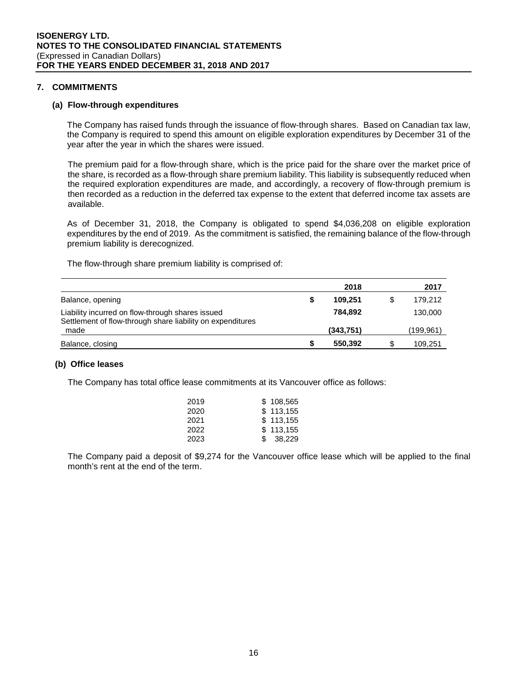#### **7. COMMITMENTS**

#### **(a) Flow-through expenditures**

The Company has raised funds through the issuance of flow-through shares. Based on Canadian tax law, the Company is required to spend this amount on eligible exploration expenditures by December 31 of the year after the year in which the shares were issued.

The premium paid for a flow-through share, which is the price paid for the share over the market price of the share, is recorded as a flow-through share premium liability. This liability is subsequently reduced when the required exploration expenditures are made, and accordingly, a recovery of flow-through premium is then recorded as a reduction in the deferred tax expense to the extent that deferred income tax assets are available.

As of December 31, 2018, the Company is obligated to spend \$4,036,208 on eligible exploration expenditures by the end of 2019. As the commitment is satisfied, the remaining balance of the flow-through premium liability is derecognized.

The flow-through share premium liability is comprised of:

|                                                                                                                | 2018      | 2017      |
|----------------------------------------------------------------------------------------------------------------|-----------|-----------|
| Balance, opening                                                                                               | 109.251   | 179.212   |
| Liability incurred on flow-through shares issued<br>Settlement of flow-through share liability on expenditures | 784.892   | 130,000   |
| made                                                                                                           | (343,751) | (199,961) |
| Balance, closing                                                                                               | 550,392   | 109,251   |

#### **(b) Office leases**

The Company has total office lease commitments at its Vancouver office as follows:

| 2019 | \$108.565 |
|------|-----------|
| 2020 | \$113.155 |
| 2021 | \$113.155 |
| 2022 | \$113.155 |
| 2023 | \$ 38,229 |

The Company paid a deposit of \$9,274 for the Vancouver office lease which will be applied to the final month's rent at the end of the term.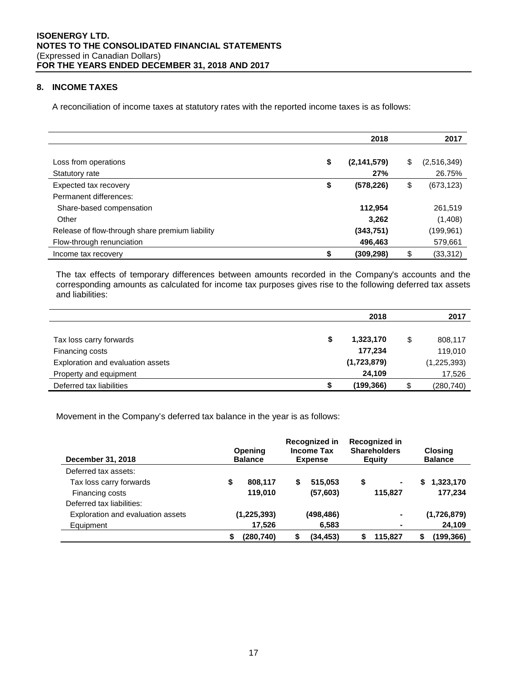#### **8. INCOME TAXES**

A reconciliation of income taxes at statutory rates with the reported income taxes is as follows:

|                                                 | 2018                | 2017              |
|-------------------------------------------------|---------------------|-------------------|
|                                                 |                     |                   |
| Loss from operations                            | \$<br>(2, 141, 579) | \$<br>(2,516,349) |
| Statutory rate                                  | 27%                 | 26.75%            |
| Expected tax recovery                           | \$<br>(578, 226)    | \$<br>(673, 123)  |
| Permanent differences:                          |                     |                   |
| Share-based compensation                        | 112,954             | 261,519           |
| Other                                           | 3,262               | (1,408)           |
| Release of flow-through share premium liability | (343, 751)          | (199, 961)        |
| Flow-through renunciation                       | 496,463             | 579,661           |
| Income tax recovery                             | \$<br>(309, 298)    | \$<br>(33, 312)   |

The tax effects of temporary differences between amounts recorded in the Company's accounts and the corresponding amounts as calculated for income tax purposes gives rise to the following deferred tax assets and liabilities:

|                                   |   | 2018        | 2017            |
|-----------------------------------|---|-------------|-----------------|
|                                   |   |             |                 |
| Tax loss carry forwards           | S | 1,323,170   | \$<br>808,117   |
| Financing costs                   |   | 177,234     | 119,010         |
| Exploration and evaluation assets |   | (1,723,879) | (1,225,393)     |
| Property and equipment            |   | 24,109      | 17,526          |
| Deferred tax liabilities          |   | (199.366)   | \$<br>(280,740) |

Movement in the Company's deferred tax balance in the year is as follows:

| December 31, 2018                 | Recognized in<br><b>Income Tax</b><br>Opening<br><b>Balance</b><br><b>Expense</b> |  |            | Recognized in<br><b>Shareholders</b><br>Equity |         | <b>Closing</b><br><b>Balance</b> |             |
|-----------------------------------|-----------------------------------------------------------------------------------|--|------------|------------------------------------------------|---------|----------------------------------|-------------|
| Deferred tax assets:              |                                                                                   |  |            |                                                |         |                                  |             |
| Tax loss carry forwards           | 808.117                                                                           |  | 515.053    | \$                                             |         | S                                | 1,323,170   |
| Financing costs                   | 119,010                                                                           |  | (57, 603)  |                                                | 115.827 |                                  | 177,234     |
| Deferred tax liabilities:         |                                                                                   |  |            |                                                |         |                                  |             |
| Exploration and evaluation assets | (1, 225, 393)                                                                     |  | (498, 486) |                                                | ۰       |                                  | (1,726,879) |
| Equipment                         | 17,526                                                                            |  | 6,583      |                                                |         |                                  | 24,109      |
|                                   | (280,740)                                                                         |  | (34, 453)  |                                                | 115,827 | S                                | (199, 366)  |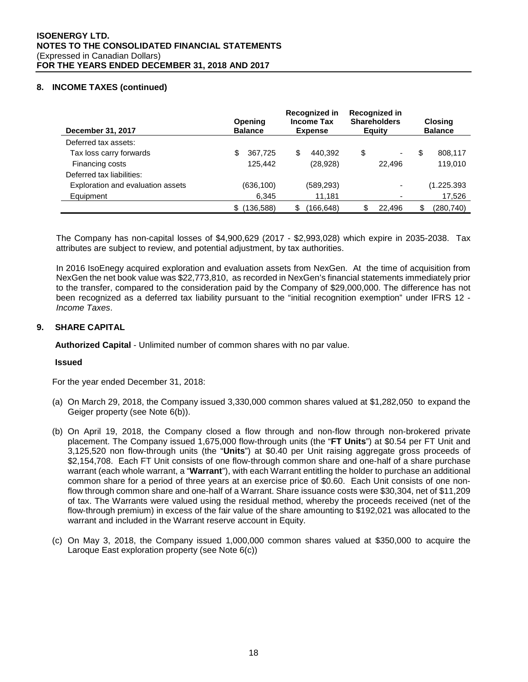#### **8. INCOME TAXES (continued)**

| December 31, 2017                 | Opening<br><b>Balance</b> | Recognized in<br>Recognized in<br><b>Shareholders</b><br><b>Income Tax</b><br><b>Expense</b><br><b>Equity</b> |         | <b>Closing</b><br><b>Balance</b> |  |
|-----------------------------------|---------------------------|---------------------------------------------------------------------------------------------------------------|---------|----------------------------------|--|
| Deferred tax assets:              |                           |                                                                                                               |         |                                  |  |
| Tax loss carry forwards           | \$<br>367.725             | 440.392<br>S                                                                                                  | \$<br>۰ | 808,117<br>S                     |  |
| Financing costs                   | 125.442                   | (28, 928)                                                                                                     | 22.496  | 119,010                          |  |
| Deferred tax liabilities:         |                           |                                                                                                               |         |                                  |  |
| Exploration and evaluation assets | (636, 100)                | (589, 293)                                                                                                    | ۰       | (1.225.393)                      |  |
| Equipment                         | 6,345                     | 11,181                                                                                                        |         | 17,526                           |  |
|                                   | (136,588)<br>\$.          | (166,648)                                                                                                     | 22.496  | (280, 740)                       |  |

The Company has non-capital losses of \$4,900,629 (2017 - \$2,993,028) which expire in 2035-2038. Tax attributes are subject to review, and potential adjustment, by tax authorities.

In 2016 IsoEnegy acquired exploration and evaluation assets from NexGen. At the time of acquisition from NexGen the net book value was \$22,773,810, as recorded in NexGen's financial statements immediately prior to the transfer, compared to the consideration paid by the Company of \$29,000,000. The difference has not been recognized as a deferred tax liability pursuant to the "initial recognition exemption" under IFRS 12 - *Income Taxes*.

#### **9. SHARE CAPITAL**

**Authorized Capital** - Unlimited number of common shares with no par value.

#### **Issued**

For the year ended December 31, 2018:

- (a) On March 29, 2018, the Company issued 3,330,000 common shares valued at \$1,282,050 to expand the Geiger property (see Note 6(b)).
- (b) On April 19, 2018, the Company closed a flow through and non-flow through non-brokered private placement. The Company issued 1,675,000 flow-through units (the "**FT Units**") at \$0.54 per FT Unit and 3,125,520 non flow-through units (the "**Units**") at \$0.40 per Unit raising aggregate gross proceeds of \$2,154,708. Each FT Unit consists of one flow-through common share and one-half of a share purchase warrant (each whole warrant, a "**Warrant**"), with each Warrant entitling the holder to purchase an additional common share for a period of three years at an exercise price of \$0.60. Each Unit consists of one nonflow through common share and one-half of a Warrant. Share issuance costs were \$30,304, net of \$11,209 of tax. The Warrants were valued using the residual method, whereby the proceeds received (net of the flow-through premium) in excess of the fair value of the share amounting to \$192,021 was allocated to the warrant and included in the Warrant reserve account in Equity.
- (c) On May 3, 2018, the Company issued 1,000,000 common shares valued at \$350,000 to acquire the Laroque East exploration property (see Note 6(c))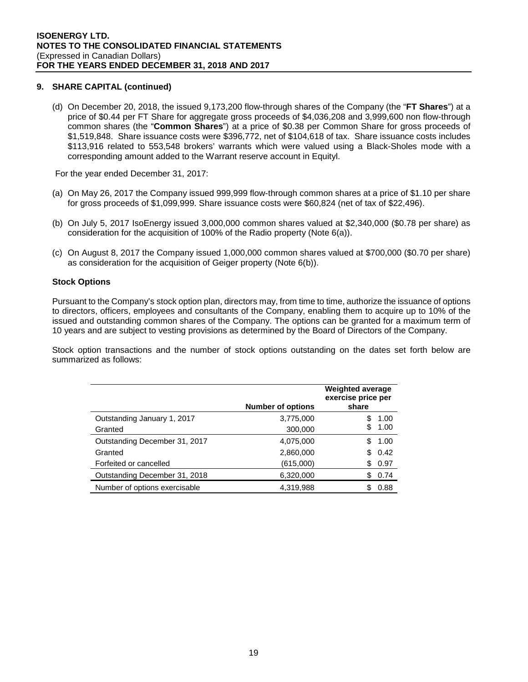#### **9. SHARE CAPITAL (continued)**

(d) On December 20, 2018, the issued 9,173,200 flow-through shares of the Company (the "**FT Shares**") at a price of \$0.44 per FT Share for aggregate gross proceeds of \$4,036,208 and 3,999,600 non flow-through common shares (the "**Common Shares**") at a price of \$0.38 per Common Share for gross proceeds of \$1,519,848. Share issuance costs were \$396,772, net of \$104,618 of tax. Share issuance costs includes \$113,916 related to 553,548 brokers' warrants which were valued using a Black-Sholes mode with a corresponding amount added to the Warrant reserve account in Equityl.

For the year ended December 31, 2017:

- (a) On May 26, 2017 the Company issued 999,999 flow-through common shares at a price of \$1.10 per share for gross proceeds of \$1,099,999. Share issuance costs were \$60,824 (net of tax of \$22,496).
- (b) On July 5, 2017 IsoEnergy issued 3,000,000 common shares valued at \$2,340,000 (\$0.78 per share) as consideration for the acquisition of 100% of the Radio property (Note 6(a)).
- (c) On August 8, 2017 the Company issued 1,000,000 common shares valued at \$700,000 (\$0.70 per share) as consideration for the acquisition of Geiger property (Note 6(b)).

#### **Stock Options**

Pursuant to the Company's stock option plan, directors may, from time to time, authorize the issuance of options to directors, officers, employees and consultants of the Company, enabling them to acquire up to 10% of the issued and outstanding common shares of the Company. The options can be granted for a maximum term of 10 years and are subject to vesting provisions as determined by the Board of Directors of the Company.

Stock option transactions and the number of stock options outstanding on the dates set forth below are summarized as follows:

|                               | <b>Number of options</b> | <b>Weighted average</b><br>exercise price per<br>share |
|-------------------------------|--------------------------|--------------------------------------------------------|
| Outstanding January 1, 2017   | 3,775,000                | 1.00                                                   |
| Granted                       | 300,000                  | 1.00<br>S.                                             |
| Outstanding December 31, 2017 | 4,075,000                | 1.00<br>S                                              |
| Granted                       | 2,860,000                | 0.42<br>S                                              |
| Forfeited or cancelled        | (615,000)                | 0.97<br>S                                              |
| Outstanding December 31, 2018 | 6,320,000                | 0.74<br>S                                              |
| Number of options exercisable | 4.319.988                | 0.88                                                   |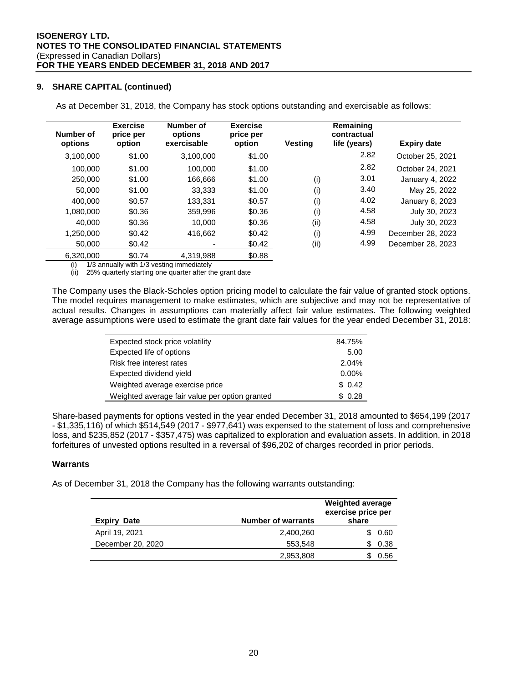#### **9. SHARE CAPITAL (continued)**

|                      | <b>Exercise</b>     | <b>Number of</b>       | <b>Exercise</b>     |         | Remaining                   |                    |
|----------------------|---------------------|------------------------|---------------------|---------|-----------------------------|--------------------|
| Number of<br>options | price per<br>option | options<br>exercisable | price per<br>option | Vestina | contractual<br>life (years) | <b>Expiry date</b> |
| 3,100,000            | \$1.00              | 3,100,000              | \$1.00              |         | 2.82                        | October 25, 2021   |
| 100,000              | \$1.00              | 100.000                | \$1.00              |         | 2.82                        | October 24, 2021   |
| 250,000              | \$1.00              | 166.666                | \$1.00              | (i)     | 3.01                        | January 4, 2022    |
| 50,000               | \$1.00              | 33,333                 | \$1.00              | (i)     | 3.40                        | May 25, 2022       |
| 400,000              | \$0.57              | 133,331                | \$0.57              | (i)     | 4.02                        | January 8, 2023    |
| 1,080,000            | \$0.36              | 359.996                | \$0.36              | (i)     | 4.58                        | July 30, 2023      |
| 40.000               | \$0.36              | 10.000                 | \$0.36              | (ii)    | 4.58                        | July 30, 2023      |
| 1,250,000            | \$0.42              | 416,662                | \$0.42              | (i)     | 4.99                        | December 28, 2023  |
| 50,000               | \$0.42              | -                      | \$0.42              | (ii)    | 4.99                        | December 28, 2023  |
| 6.320.000            | \$0.74              | 4.319.988              | \$0.88              |         |                             |                    |

As at December 31, 2018, the Company has stock options outstanding and exercisable as follows:

(i) 1/3 annually with 1/3 vesting immediately

(ii) 25% quarterly starting one quarter after the grant date

The Company uses the Black-Scholes option pricing model to calculate the fair value of granted stock options. The model requires management to make estimates, which are subjective and may not be representative of actual results. Changes in assumptions can materially affect fair value estimates. The following weighted average assumptions were used to estimate the grant date fair values for the year ended December 31, 2018:

| Expected stock price volatility                | 84.75%   |
|------------------------------------------------|----------|
| Expected life of options                       | 5.00     |
| Risk free interest rates                       | 2.04%    |
| Expected dividend yield                        | $0.00\%$ |
| Weighted average exercise price                | \$0.42   |
| Weighted average fair value per option granted | \$0.28   |
|                                                |          |

Share-based payments for options vested in the year ended December 31, 2018 amounted to \$654,199 (2017 - \$1,335,116) of which \$514,549 (2017 - \$977,641) was expensed to the statement of loss and comprehensive loss, and \$235,852 (2017 - \$357,475) was capitalized to exploration and evaluation assets. In addition, in 2018 forfeitures of unvested options resulted in a reversal of \$96,202 of charges recorded in prior periods.

#### **Warrants**

As of December 31, 2018 the Company has the following warrants outstanding:

| <b>Expiry Date</b> | <b>Number of warrants</b> | <b>Weighted average</b><br>exercise price per<br>share |
|--------------------|---------------------------|--------------------------------------------------------|
| April 19, 2021     | 2,400,260                 | \$0.60                                                 |
| December 20, 2020  | 553.548                   | 0.38                                                   |
|                    | 2,953,808                 | 0.56                                                   |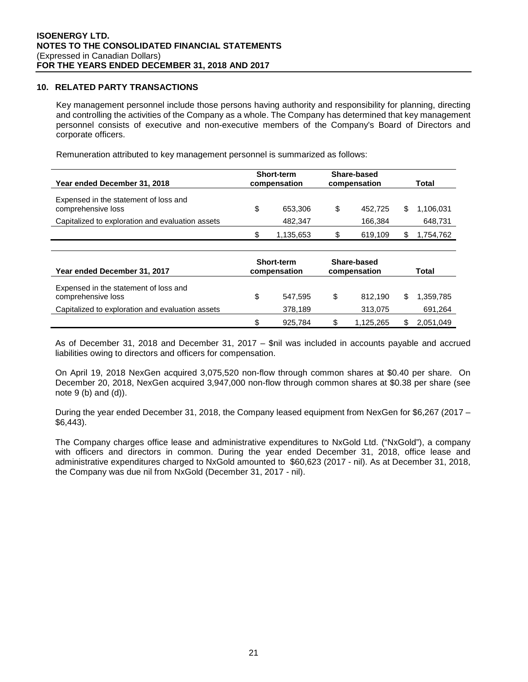#### **10. RELATED PARTY TRANSACTIONS**

Key management personnel include those persons having authority and responsibility for planning, directing and controlling the activities of the Company as a whole. The Company has determined that key management personnel consists of executive and non-executive members of the Company's Board of Directors and corporate officers.

Remuneration attributed to key management personnel is summarized as follows:

| Year ended December 31, 2018                                | <b>Short-term</b><br>compensation |           | <b>Share-based</b><br>compensation |           | Total |           |
|-------------------------------------------------------------|-----------------------------------|-----------|------------------------------------|-----------|-------|-----------|
| Expensed in the statement of loss and<br>comprehensive loss | \$                                | 653,306   | \$                                 | 452.725   | \$    | 1,106,031 |
| Capitalized to exploration and evaluation assets            |                                   | 482,347   |                                    | 166,384   |       | 648,731   |
|                                                             | \$                                | 1,135,653 | \$                                 | 619,109   | S     | 1,754,762 |
|                                                             |                                   |           |                                    |           |       |           |
| Year ended December 31, 2017                                | <b>Short-term</b><br>compensation |           | Share-based<br>compensation        |           |       | Total     |
| Expensed in the statement of loss and<br>comprehensive loss | \$                                | 547,595   | \$                                 | 812.190   | \$    | 1,359,785 |
| Capitalized to exploration and evaluation assets            |                                   | 378,189   |                                    | 313.075   |       | 691,264   |
|                                                             | \$                                | 925.784   | \$                                 | 1,125,265 | \$    | 2.051.049 |

As of December 31, 2018 and December 31, 2017 – \$nil was included in accounts payable and accrued liabilities owing to directors and officers for compensation.

On April 19, 2018 NexGen acquired 3,075,520 non-flow through common shares at \$0.40 per share. On December 20, 2018, NexGen acquired 3,947,000 non-flow through common shares at \$0.38 per share (see note  $9$  (b) and (d)).

During the year ended December 31, 2018, the Company leased equipment from NexGen for \$6,267 (2017 – \$6,443).

The Company charges office lease and administrative expenditures to NxGold Ltd. ("NxGold"), a company with officers and directors in common. During the year ended December 31, 2018, office lease and administrative expenditures charged to NxGold amounted to \$60,623 (2017 - nil). As at December 31, 2018, the Company was due nil from NxGold (December 31, 2017 - nil).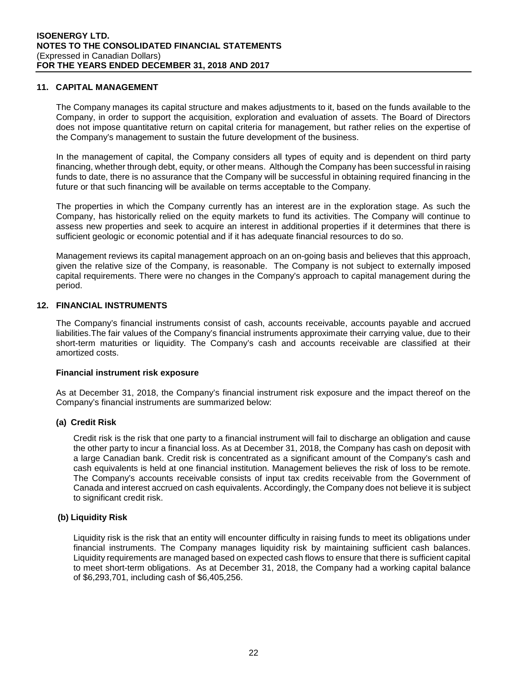#### **11. CAPITAL MANAGEMENT**

The Company manages its capital structure and makes adjustments to it, based on the funds available to the Company, in order to support the acquisition, exploration and evaluation of assets. The Board of Directors does not impose quantitative return on capital criteria for management, but rather relies on the expertise of the Company's management to sustain the future development of the business.

In the management of capital, the Company considers all types of equity and is dependent on third party financing, whether through debt, equity, or other means. Although the Company has been successful in raising funds to date, there is no assurance that the Company will be successful in obtaining required financing in the future or that such financing will be available on terms acceptable to the Company.

The properties in which the Company currently has an interest are in the exploration stage. As such the Company, has historically relied on the equity markets to fund its activities. The Company will continue to assess new properties and seek to acquire an interest in additional properties if it determines that there is sufficient geologic or economic potential and if it has adequate financial resources to do so.

Management reviews its capital management approach on an on-going basis and believes that this approach, given the relative size of the Company, is reasonable. The Company is not subject to externally imposed capital requirements. There were no changes in the Company's approach to capital management during the period.

#### **12. FINANCIAL INSTRUMENTS**

The Company's financial instruments consist of cash, accounts receivable, accounts payable and accrued liabilities.The fair values of the Company's financial instruments approximate their carrying value, due to their short-term maturities or liquidity. The Company's cash and accounts receivable are classified at their amortized costs.

#### **Financial instrument risk exposure**

As at December 31, 2018, the Company's financial instrument risk exposure and the impact thereof on the Company's financial instruments are summarized below:

#### **(a) Credit Risk**

Credit risk is the risk that one party to a financial instrument will fail to discharge an obligation and cause the other party to incur a financial loss. As at December 31, 2018, the Company has cash on deposit with a large Canadian bank. Credit risk is concentrated as a significant amount of the Company's cash and cash equivalents is held at one financial institution. Management believes the risk of loss to be remote. The Company's accounts receivable consists of input tax credits receivable from the Government of Canada and interest accrued on cash equivalents. Accordingly, the Company does not believe it is subject to significant credit risk.

#### **(b) Liquidity Risk**

Liquidity risk is the risk that an entity will encounter difficulty in raising funds to meet its obligations under financial instruments. The Company manages liquidity risk by maintaining sufficient cash balances. Liquidity requirements are managed based on expected cash flows to ensure that there is sufficient capital to meet short-term obligations. As at December 31, 2018, the Company had a working capital balance of \$6,293,701, including cash of \$6,405,256.